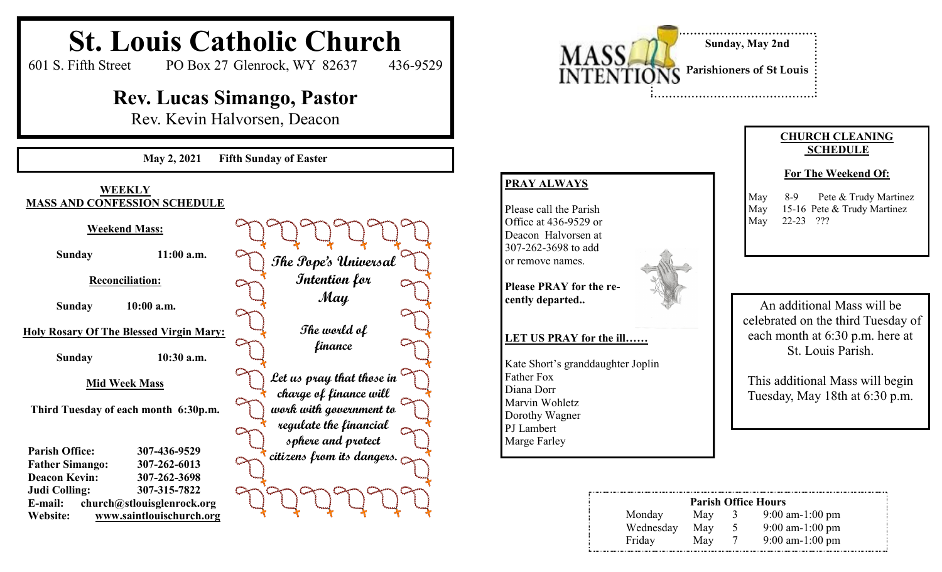#### **St. Louis Catholic Church** 601 S. Fifth Street PO Box 27 Glenrock, WY 82637 436-9529 **Rev. Lucas Simango, Pastor** Rev. Kevin Halvorsen, Deacon **May 2, 2021 Fifth Sunday of Easter WEEKLY MASS AND CONFESSION SCHEDULE Weekend Mass: Sunday 11:00 a.m. Reconciliation: Sunday 10:00 a.m. Holy Rosary Of The Blessed Virgin Mary: Sunday 10:30 a.m. Mid Week Mass Third Tuesday of each month 6:30p.m. Parish Office: 307-436-9529 Father Simango: 307-262-6013 Deacon Kevin: 307-262-3698 Judi Colling: 307-315-7822 E-mail: church@stlouisglenrock.org Website: www.saintlouischurch.org Parish Office Hours** Monday May 3 9:00 am-1:00 pm Wednesday May 5 9:00 am-1:00 pm Friday May 7 9:00 am-1:00 pm **CHURCH CLEANING SCHEDULE For The Weekend Of:** May 8-9 Pete & Trudy Martinez May 15-16 Pete & Trudy Martinez May 22-23 ??? **PRAY ALWAYS** Please call the Parish Office at 436-9529 or Deacon Halvorsen at 307-262-3698 to add or remove names. **Please PRAY for the recently departed.. LET US PRAY for the ill……** Kate Short's granddaughter Joplin Father Fox Diana Dorr Marvin Wohletz Dorothy Wagner PJ Lambert Marge Farley **Sunday, May 2nd Parishioners of St Louis The Pope's Universal Intention for May The world of finance Let us pray that those in charge of finance will work with government to regulate the financial sphere and protect citizens from its dangers.** An additional Mass will be celebrated on the third Tuesday of each month at 6:30 p.m. here at St. Louis Parish. This additional Mass will begin Tuesday, May 18th at 6:30 p.m.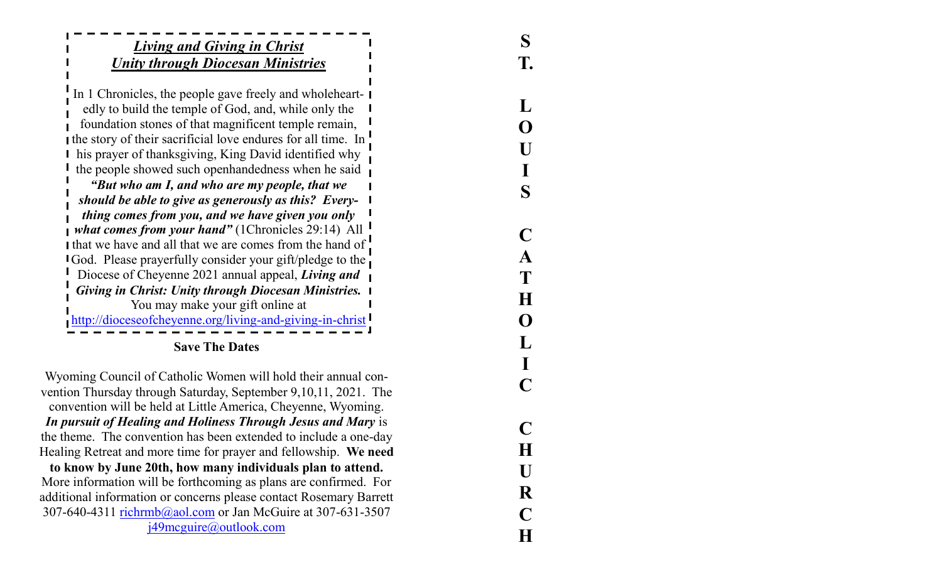# *Living and Giving in Christ Unity through Diocesan Ministries*

**S**

**T.**

 $\bf{L}$ 

( )

S

C

A

**LOUISCATHOLICCHURCH**

C

H

U

R

 $H$ 

H

In 1 Chronicles, the people gave freely and wholeheartedly to build the temple of God, and, while only the foundation stones of that magnificent temple remain, the story of their sacrificial love endures for all time. In **I** his prayer of thanksgiving, King David identified why the people showed such openhandedness when he said

*"But who am I, and who are my people, that we should be able to give as generously as this? Everything comes from you, and we have given you only what comes from your hand"* (1Chronicles 29:14) All I that we have and all that we are comes from the hand of **I** God. Please prayerfully consider your gift/pledge to the Diocese of Cheyenne 2021 annual appeal, *Living and Giving in Christ: Unity through Diocesan Ministries.*  You may make your gift online at http://dioceseofcheyenne.org/living-and-giving-in-christ

**Save The Dates**

Wyoming Council of Catholic Women will hold their annual convention Thursday through Saturday, September 9,10,11, 2021. The convention will be held at Little America, Cheyenne, Wyoming. *In pursuit of Healing and Holiness Through Jesus and Mary* is the theme. The convention has been extended to include a one -day Healing Retreat and more time for prayer and fellowship. **We need to know by June 20th, how many individuals plan to attend.**

More information will be forthcoming as plans are confirmed. For additional information or concerns please contact Rosemary Barrett 307-640-4311 richrmb@aol.com or Jan McGuire at 307-631-3507

j49mcguire@outlook.com